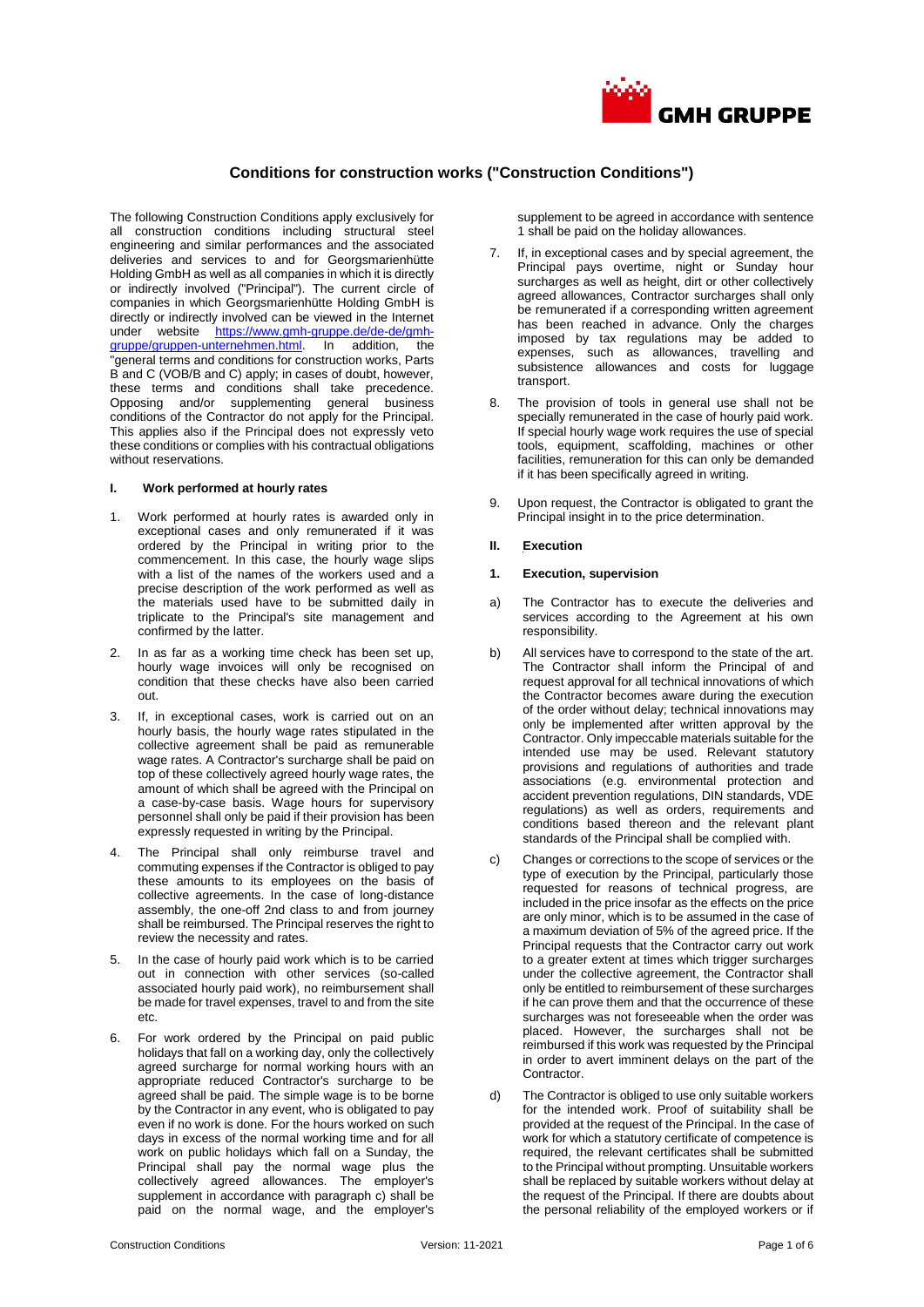

# **Conditions for construction works ("Construction Conditions")**

The following Construction Conditions apply exclusively for all construction conditions including structural steel engineering and similar performances and the associated deliveries and services to and for Georgsmarienhütte Holding GmbH as well as all companies in which it is directly or indirectly involved ("Principal"). The current circle of companies in which Georgsmarienhütte Holding GmbH is directly or indirectly involved can be viewed in the Internet under website [https://www.gmh-gruppe.de/de-de/gmh](https://www.gmh-gruppe.de/de-de/gmh-gruppe/gruppen-unternehmen.html)[gruppe/gruppen-unternehmen.html.](https://www.gmh-gruppe.de/de-de/gmh-gruppe/gruppen-unternehmen.html) In addition, the "general terms and conditions for construction works, Parts B and C (VOB/B and C) apply; in cases of doubt, however, these terms and conditions shall take precedence. Opposing and/or supplementing general business conditions of the Contractor do not apply for the Principal. This applies also if the Principal does not expressly veto these conditions or complies with his contractual obligations without reservations.

### **I. Work performed at hourly rates**

- 1. Work performed at hourly rates is awarded only in exceptional cases and only remunerated if it was ordered by the Principal in writing prior to the commencement. In this case, the hourly wage slips with a list of the names of the workers used and a precise description of the work performed as well as the materials used have to be submitted daily in triplicate to the Principal's site management and confirmed by the latter.
- In as far as a working time check has been set up, hourly wage invoices will only be recognised on condition that these checks have also been carried out.
- 3. If, in exceptional cases, work is carried out on an hourly basis, the hourly wage rates stipulated in the collective agreement shall be paid as remunerable wage rates. A Contractor's surcharge shall be paid on top of these collectively agreed hourly wage rates, the amount of which shall be agreed with the Principal on a case-by-case basis. Wage hours for supervisory personnel shall only be paid if their provision has been expressly requested in writing by the Principal.
- 4. The Principal shall only reimburse travel and commuting expenses if the Contractor is obliged to pay these amounts to its employees on the basis of collective agreements. In the case of long-distance assembly, the one-off 2nd class to and from journey shall be reimbursed. The Principal reserves the right to review the necessity and rates.
- 5. In the case of hourly paid work which is to be carried out in connection with other services (so-called associated hourly paid work), no reimbursement shall be made for travel expenses, travel to and from the site etc.
- 6. For work ordered by the Principal on paid public holidays that fall on a working day, only the collectively agreed surcharge for normal working hours with an appropriate reduced Contractor's surcharge to be agreed shall be paid. The simple wage is to be borne by the Contractor in any event, who is obligated to pay even if no work is done. For the hours worked on such days in excess of the normal working time and for all work on public holidays which fall on a Sunday, the Principal shall pay the normal wage plus the collectively agreed allowances. The employer's supplement in accordance with paragraph c) shall be paid on the normal wage, and the employer's

supplement to be agreed in accordance with sentence 1 shall be paid on the holiday allowances.

- If, in exceptional cases and by special agreement, the Principal pays overtime, night or Sunday hour surcharges as well as height, dirt or other collectively agreed allowances, Contractor surcharges shall only be remunerated if a corresponding written agreement has been reached in advance. Only the charges imposed by tax regulations may be added to expenses, such as allowances, travelling and subsistence allowances and costs for luggage transport.
- 8. The provision of tools in general use shall not be specially remunerated in the case of hourly paid work. If special hourly wage work requires the use of special tools, equipment, scaffolding, machines or other facilities, remuneration for this can only be demanded if it has been specifically agreed in writing.
- 9. Upon request, the Contractor is obligated to grant the Principal insight in to the price determination.
- **II. Execution**

#### **1. Execution, supervision**

- a) The Contractor has to execute the deliveries and services according to the Agreement at his own responsibility.
- b) All services have to correspond to the state of the art. The Contractor shall inform the Principal of and request approval for all technical innovations of which the Contractor becomes aware during the execution of the order without delay; technical innovations may only be implemented after written approval by the Contractor. Only impeccable materials suitable for the intended use may be used. Relevant statutory provisions and regulations of authorities and trade associations (e.g. environmental protection and accident prevention regulations, DIN standards, VDE regulations) as well as orders, requirements and conditions based thereon and the relevant plant standards of the Principal shall be complied with.
- c) Changes or corrections to the scope of services or the type of execution by the Principal, particularly those requested for reasons of technical progress, are included in the price insofar as the effects on the price are only minor, which is to be assumed in the case of a maximum deviation of 5% of the agreed price. If the Principal requests that the Contractor carry out work to a greater extent at times which trigger surcharges under the collective agreement, the Contractor shall only be entitled to reimbursement of these surcharges if he can prove them and that the occurrence of these surcharges was not foreseeable when the order was placed. However, the surcharges shall not be reimbursed if this work was requested by the Principal in order to avert imminent delays on the part of the Contractor.
- d) The Contractor is obliged to use only suitable workers for the intended work. Proof of suitability shall be provided at the request of the Principal. In the case of work for which a statutory certificate of competence is required, the relevant certificates shall be submitted to the Principal without prompting. Unsuitable workers shall be replaced by suitable workers without delay at the request of the Principal. If there are doubts about the personal reliability of the employed workers or if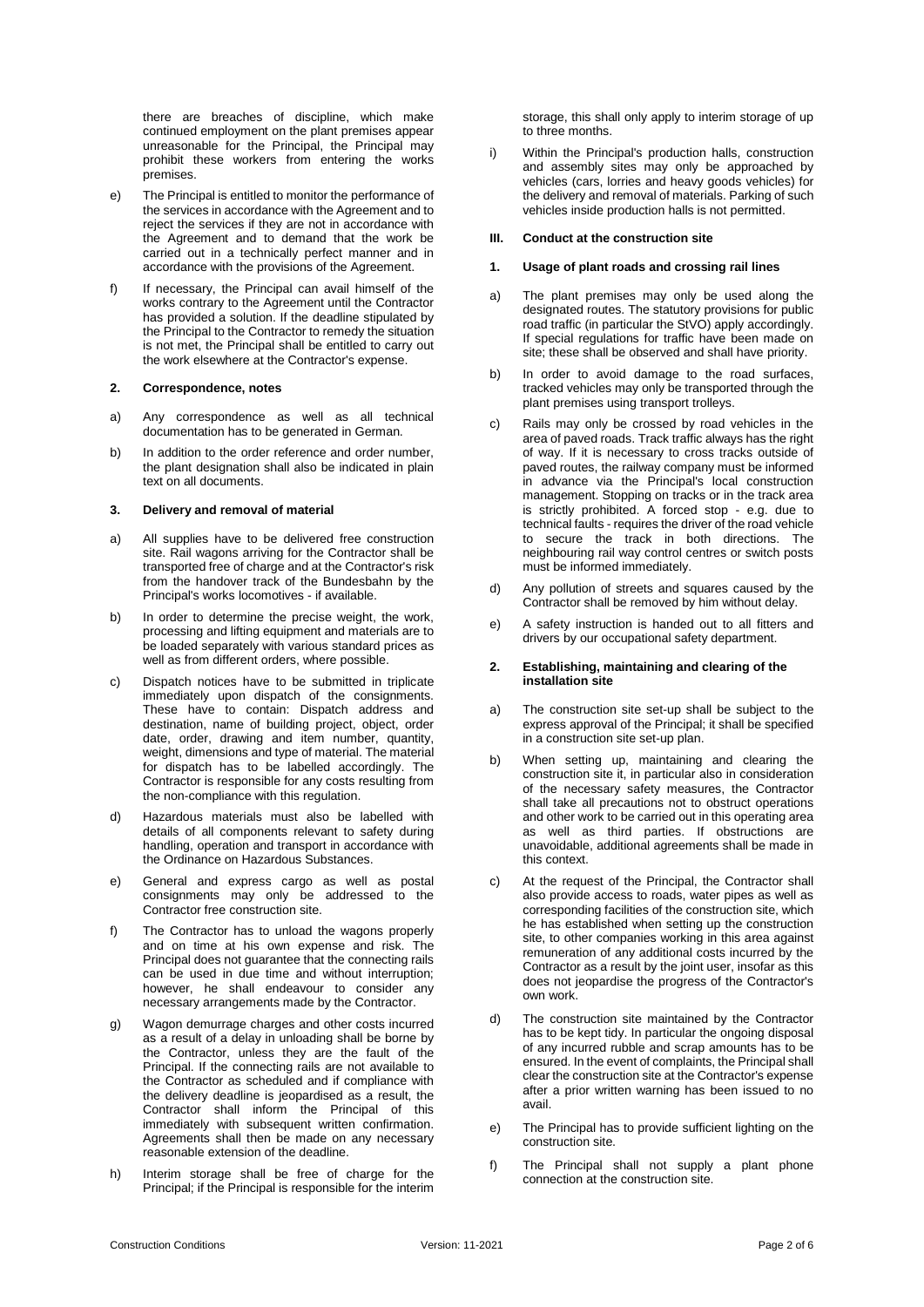there are breaches of discipline, which make continued employment on the plant premises appear unreasonable for the Principal, the Principal may prohibit these workers from entering the works premises.

- e) The Principal is entitled to monitor the performance of the services in accordance with the Agreement and to reject the services if they are not in accordance with the Agreement and to demand that the work be carried out in a technically perfect manner and in accordance with the provisions of the Agreement.
- f) If necessary, the Principal can avail himself of the works contrary to the Agreement until the Contractor has provided a solution. If the deadline stipulated by the Principal to the Contractor to remedy the situation is not met, the Principal shall be entitled to carry out the work elsewhere at the Contractor's expense.

#### **2. Correspondence, notes**

- a) Any correspondence as well as all technical documentation has to be generated in German.
- b) In addition to the order reference and order number, the plant designation shall also be indicated in plain text on all documents.

#### **3. Delivery and removal of material**

- a) All supplies have to be delivered free construction site. Rail wagons arriving for the Contractor shall be transported free of charge and at the Contractor's risk from the handover track of the Bundesbahn by the Principal's works locomotives - if available.
- b) In order to determine the precise weight, the work, processing and lifting equipment and materials are to be loaded separately with various standard prices as well as from different orders, where possible.
- c) Dispatch notices have to be submitted in triplicate immediately upon dispatch of the consignments. These have to contain: Dispatch address and destination, name of building project, object, order date, order, drawing and item number, quantity, weight, dimensions and type of material. The material for dispatch has to be labelled accordingly. The Contractor is responsible for any costs resulting from the non-compliance with this regulation.
- d) Hazardous materials must also be labelled with details of all components relevant to safety during handling, operation and transport in accordance with the Ordinance on Hazardous Substances.
- e) General and express cargo as well as postal consignments may only be addressed to the Contractor free construction site.
- f) The Contractor has to unload the wagons properly and on time at his own expense and risk. The Principal does not guarantee that the connecting rails can be used in due time and without interruption; however, he shall endeavour to consider any necessary arrangements made by the Contractor.
- g) Wagon demurrage charges and other costs incurred as a result of a delay in unloading shall be borne by the Contractor, unless they are the fault of the Principal. If the connecting rails are not available to the Contractor as scheduled and if compliance with the delivery deadline is jeopardised as a result, the Contractor shall inform the Principal of this immediately with subsequent written confirmation. Agreements shall then be made on any necessary reasonable extension of the deadline.
- h) Interim storage shall be free of charge for the Principal; if the Principal is responsible for the interim

storage, this shall only apply to interim storage of up to three months.

i) Within the Principal's production halls, construction and assembly sites may only be approached by vehicles (cars, lorries and heavy goods vehicles) for the delivery and removal of materials. Parking of such vehicles inside production halls is not permitted.

# **III. Conduct at the construction site**

# **1. Usage of plant roads and crossing rail lines**

- a) The plant premises may only be used along the designated routes. The statutory provisions for public road traffic (in particular the StVO) apply accordingly. If special regulations for traffic have been made on site; these shall be observed and shall have priority.
- b) In order to avoid damage to the road surfaces, tracked vehicles may only be transported through the plant premises using transport trolleys.
- c) Rails may only be crossed by road vehicles in the area of paved roads. Track traffic always has the right of way. If it is necessary to cross tracks outside of paved routes, the railway company must be informed in advance via the Principal's local construction management. Stopping on tracks or in the track area is strictly prohibited. A forced stop - e.g. due to technical faults - requires the driver of the road vehicle to secure the track in both directions. The neighbouring rail way control centres or switch posts must be informed immediately.
- d) Any pollution of streets and squares caused by the Contractor shall be removed by him without delay.
- e) A safety instruction is handed out to all fitters and drivers by our occupational safety department.

# **2. Establishing, maintaining and clearing of the installation site**

- a) The construction site set-up shall be subject to the express approval of the Principal; it shall be specified in a construction site set-up plan.
- b) When setting up, maintaining and clearing the construction site it, in particular also in consideration of the necessary safety measures, the Contractor shall take all precautions not to obstruct operations and other work to be carried out in this operating area as well as third parties. If obstructions are unavoidable, additional agreements shall be made in this context.
- c) At the request of the Principal, the Contractor shall also provide access to roads, water pipes as well as corresponding facilities of the construction site, which he has established when setting up the construction site, to other companies working in this area against remuneration of any additional costs incurred by the Contractor as a result by the joint user, insofar as this does not jeopardise the progress of the Contractor's own work.
- d) The construction site maintained by the Contractor has to be kept tidy. In particular the ongoing disposal of any incurred rubble and scrap amounts has to be ensured. In the event of complaints, the Principal shall clear the construction site at the Contractor's expense after a prior written warning has been issued to no avail.
- e) The Principal has to provide sufficient lighting on the construction site.
- f) The Principal shall not supply a plant phone connection at the construction site.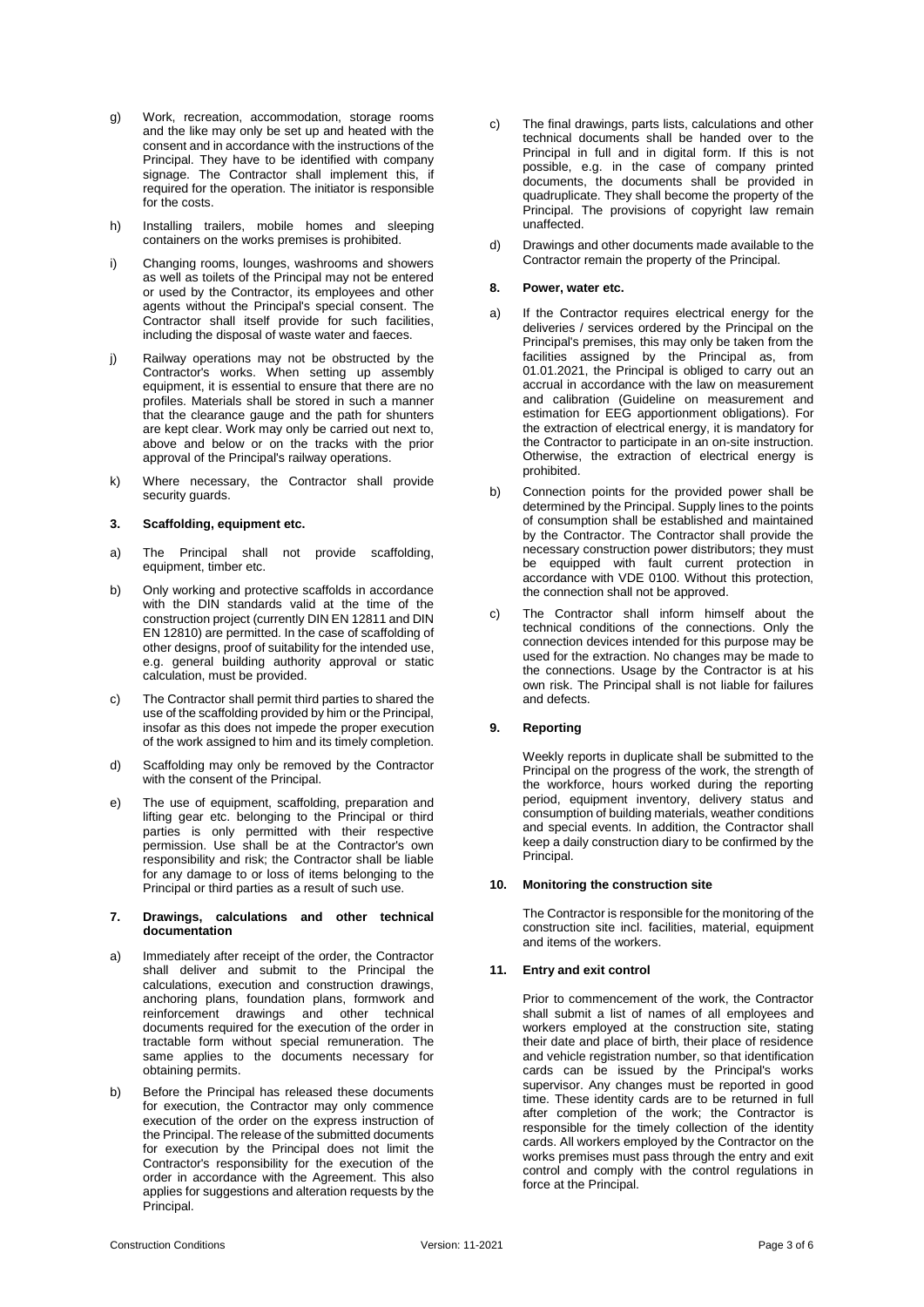- g) Work, recreation, accommodation, storage rooms and the like may only be set up and heated with the consent and in accordance with the instructions of the Principal. They have to be identified with company signage. The Contractor shall implement this, if required for the operation. The initiator is responsible for the costs.
- h) Installing trailers, mobile homes and sleeping containers on the works premises is prohibited.
- i) Changing rooms, lounges, washrooms and showers as well as toilets of the Principal may not be entered or used by the Contractor, its employees and other agents without the Principal's special consent. The Contractor shall itself provide for such facilities, including the disposal of waste water and faeces.
- j) Railway operations may not be obstructed by the Contractor's works. When setting up assembly equipment, it is essential to ensure that there are no profiles. Materials shall be stored in such a manner that the clearance gauge and the path for shunters are kept clear. Work may only be carried out next to, above and below or on the tracks with the prior approval of the Principal's railway operations.
- k) Where necessary, the Contractor shall provide security guards.

# **3. Scaffolding, equipment etc.**

- a) The Principal shall not provide scaffolding, equipment, timber etc.
- b) Only working and protective scaffolds in accordance with the DIN standards valid at the time of the construction project (currently DIN EN 12811 and DIN EN 12810) are permitted. In the case of scaffolding of other designs, proof of suitability for the intended use, e.g. general building authority approval or static calculation, must be provided.
- c) The Contractor shall permit third parties to shared the use of the scaffolding provided by him or the Principal, insofar as this does not impede the proper execution of the work assigned to him and its timely completion.
- d) Scaffolding may only be removed by the Contractor with the consent of the Principal.
- e) The use of equipment, scaffolding, preparation and lifting gear etc. belonging to the Principal or third parties is only permitted with their respective permission. Use shall be at the Contractor's own responsibility and risk; the Contractor shall be liable for any damage to or loss of items belonging to the Principal or third parties as a result of such use.

# **7. Drawings, calculations and other technical documentation**

- a) Immediately after receipt of the order, the Contractor shall deliver and submit to the Principal the calculations, execution and construction drawings, anchoring plans, foundation plans, formwork and reinforcement drawings and other technical documents required for the execution of the order in tractable form without special remuneration. The same applies to the documents necessary for obtaining permits.
- b) Before the Principal has released these documents for execution, the Contractor may only commence execution of the order on the express instruction of the Principal. The release of the submitted documents for execution by the Principal does not limit the Contractor's responsibility for the execution of the order in accordance with the Agreement. This also applies for suggestions and alteration requests by the Principal.
- c) The final drawings, parts lists, calculations and other technical documents shall be handed over to the Principal in full and in digital form. If this is not possible, e.g. in the case of company printed documents, the documents shall be provided in quadruplicate. They shall become the property of the Principal. The provisions of copyright law remain unaffected.
- d) Drawings and other documents made available to the Contractor remain the property of the Principal.

# **8. Power, water etc.**

- a) If the Contractor requires electrical energy for the deliveries / services ordered by the Principal on the Principal's premises, this may only be taken from the facilities assigned by the Principal as, from 01.01.2021, the Principal is obliged to carry out an accrual in accordance with the law on measurement and calibration (Guideline on measurement and estimation for EEG apportionment obligations). For the extraction of electrical energy, it is mandatory for the Contractor to participate in an on-site instruction. Otherwise, the extraction of electrical energy is prohibited.
- b) Connection points for the provided power shall be determined by the Principal. Supply lines to the points of consumption shall be established and maintained by the Contractor. The Contractor shall provide the necessary construction power distributors; they must be equipped with fault current protection in accordance with VDE 0100. Without this protection, the connection shall not be approved.
- c) The Contractor shall inform himself about the technical conditions of the connections. Only the connection devices intended for this purpose may be used for the extraction. No changes may be made to the connections. Usage by the Contractor is at his own risk. The Principal shall is not liable for failures and defects.

# **9. Reporting**

Weekly reports in duplicate shall be submitted to the Principal on the progress of the work, the strength of the workforce, hours worked during the reporting period, equipment inventory, delivery status and consumption of building materials, weather conditions and special events. In addition, the Contractor shall keep a daily construction diary to be confirmed by the Principal.

# **10. Monitoring the construction site**

The Contractor is responsible for the monitoring of the construction site incl. facilities, material, equipment and items of the workers.

# **11. Entry and exit control**

Prior to commencement of the work, the Contractor shall submit a list of names of all employees and workers employed at the construction site, stating their date and place of birth, their place of residence and vehicle registration number, so that identification cards can be issued by the Principal's works supervisor. Any changes must be reported in good time. These identity cards are to be returned in full after completion of the work; the Contractor is responsible for the timely collection of the identity cards. All workers employed by the Contractor on the works premises must pass through the entry and exit control and comply with the control regulations in force at the Principal.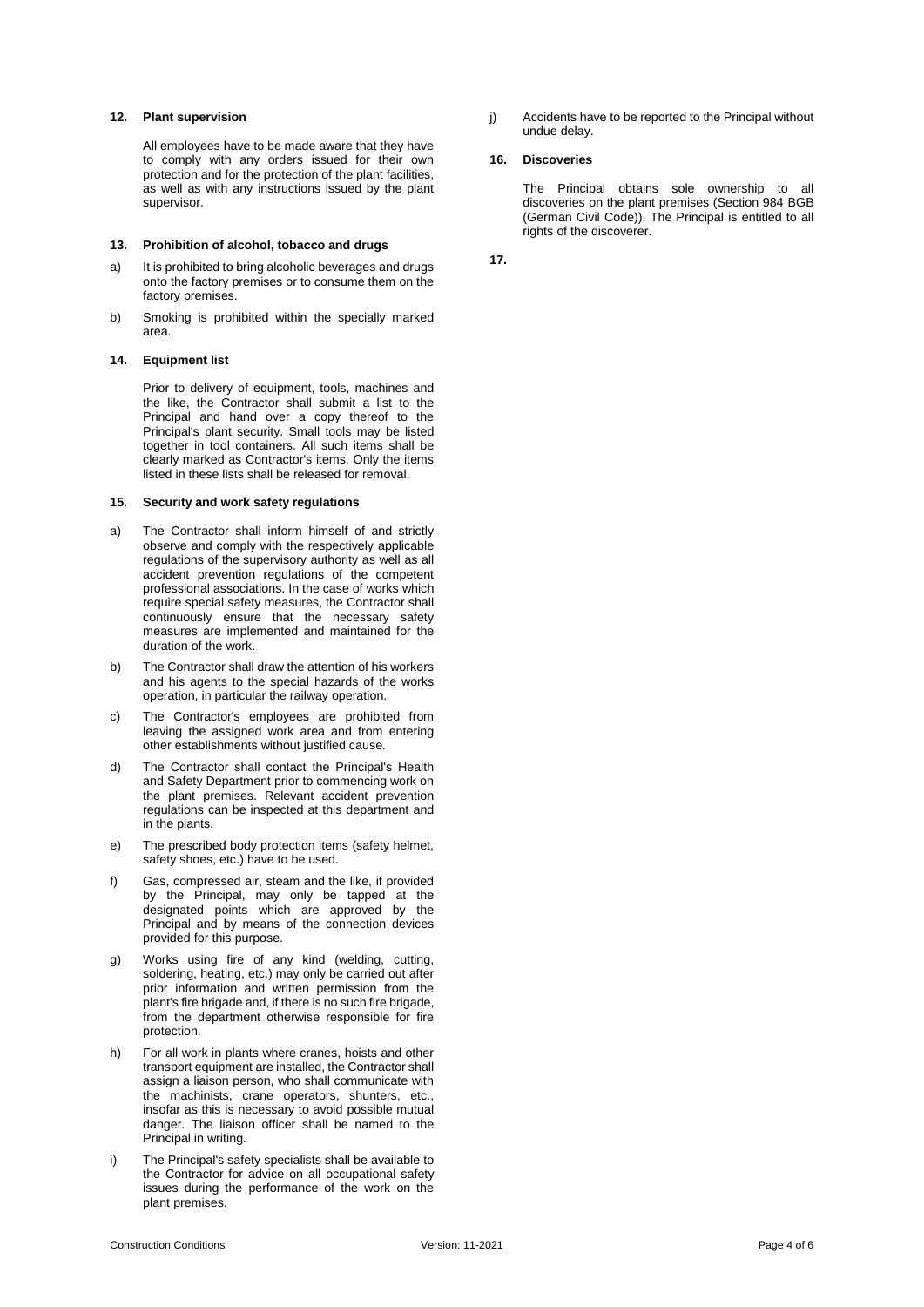#### **12. Plant supervision**

All employees have to be made aware that they have to comply with any orders issued for their own protection and for the protection of the plant facilities, as well as with any instructions issued by the plant supervisor.

# **13. Prohibition of alcohol, tobacco and drugs**

- a) It is prohibited to bring alcoholic beverages and drugs onto the factory premises or to consume them on the factory premises.
- b) Smoking is prohibited within the specially marked area.

#### **14. Equipment list**

Prior to delivery of equipment, tools, machines and the like, the Contractor shall submit a list to the Principal and hand over a copy thereof to the Principal's plant security. Small tools may be listed together in tool containers. All such items shall be clearly marked as Contractor's items. Only the items listed in these lists shall be released for removal.

# **15. Security and work safety regulations**

- a) The Contractor shall inform himself of and strictly observe and comply with the respectively applicable regulations of the supervisory authority as well as all accident prevention regulations of the competent professional associations. In the case of works which require special safety measures, the Contractor shall continuously ensure that the necessary safety measures are implemented and maintained for the duration of the work.
- b) The Contractor shall draw the attention of his workers and his agents to the special hazards of the works operation, in particular the railway operation.
- c) The Contractor's employees are prohibited from leaving the assigned work area and from entering other establishments without justified cause.
- d) The Contractor shall contact the Principal's Health and Safety Department prior to commencing work on the plant premises. Relevant accident prevention regulations can be inspected at this department and in the plants.
- e) The prescribed body protection items (safety helmet, safety shoes, etc.) have to be used.
- f) Gas, compressed air, steam and the like, if provided by the Principal, may only be tapped at the designated points which are approved by the Principal and by means of the connection devices provided for this purpose.
- g) Works using fire of any kind (welding, cutting, soldering, heating, etc.) may only be carried out after prior information and written permission from the plant's fire brigade and, if there is no such fire brigade, from the department otherwise responsible for fire protection.
- h) For all work in plants where cranes, hoists and other transport equipment are installed, the Contractor shall assign a liaison person, who shall communicate with the machinists, crane operators, shunters, etc., insofar as this is necessary to avoid possible mutual danger. The liaison officer shall be named to the Principal in writing.
- i) The Principal's safety specialists shall be available to the Contractor for advice on all occupational safety issues during the performance of the work on the plant premises.

j) Accidents have to be reported to the Principal without undue delay.

# **16. Discoveries**

The Principal obtains sole ownership to all discoveries on the plant premises (Section 984 BGB (German Civil Code)). The Principal is entitled to all rights of the discoverer.

**17.**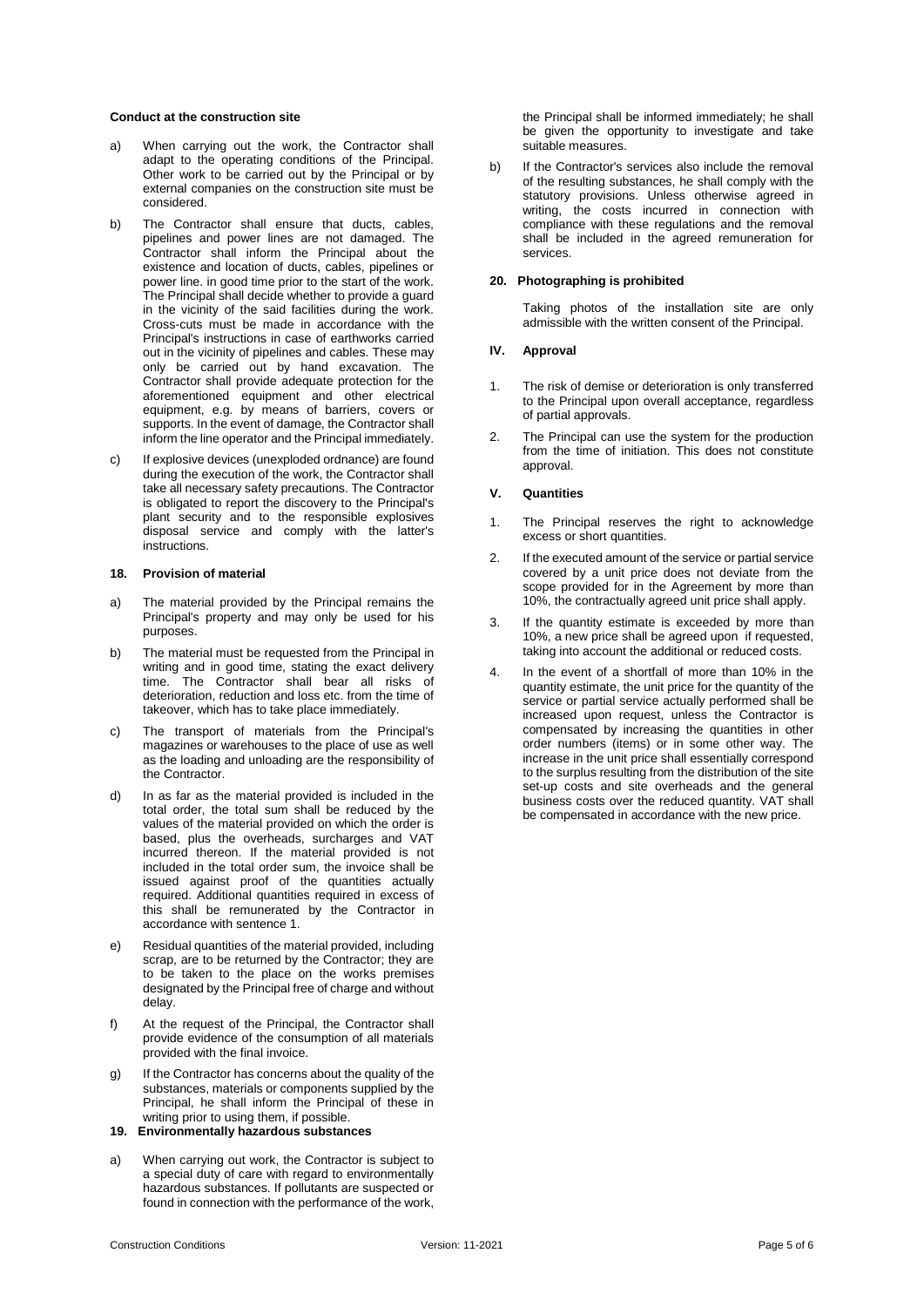#### **Conduct at the construction site**

- a) When carrying out the work, the Contractor shall adapt to the operating conditions of the Principal. Other work to be carried out by the Principal or by external companies on the construction site must be considered.
- b) The Contractor shall ensure that ducts, cables, pipelines and power lines are not damaged. The Contractor shall inform the Principal about the existence and location of ducts, cables, pipelines or power line. in good time prior to the start of the work. The Principal shall decide whether to provide a guard in the vicinity of the said facilities during the work. Cross-cuts must be made in accordance with the Principal's instructions in case of earthworks carried out in the vicinity of pipelines and cables. These may only be carried out by hand excavation. The Contractor shall provide adequate protection for the aforementioned equipment and other electrical equipment, e.g. by means of barriers, covers or supports. In the event of damage, the Contractor shall inform the line operator and the Principal immediately.
- c) If explosive devices (unexploded ordnance) are found during the execution of the work, the Contractor shall take all necessary safety precautions. The Contractor is obligated to report the discovery to the Principal's plant security and to the responsible explosives disposal service and comply with the latter's instructions.

#### **18. Provision of material**

- a) The material provided by the Principal remains the Principal's property and may only be used for his purposes.
- b) The material must be requested from the Principal in writing and in good time, stating the exact delivery time. The Contractor shall bear all risks of deterioration, reduction and loss etc. from the time of takeover, which has to take place immediately.
- c) The transport of materials from the Principal's magazines or warehouses to the place of use as well as the loading and unloading are the responsibility of the Contractor.
- d) In as far as the material provided is included in the total order, the total sum shall be reduced by the values of the material provided on which the order is based, plus the overheads, surcharges and VAT incurred thereon. If the material provided is not included in the total order sum, the invoice shall be issued against proof of the quantities actually required. Additional quantities required in excess of this shall be remunerated by the Contractor in accordance with sentence 1.
- e) Residual quantities of the material provided, including scrap, are to be returned by the Contractor; they are to be taken to the place on the works premises designated by the Principal free of charge and without delay.
- f) At the request of the Principal, the Contractor shall provide evidence of the consumption of all materials provided with the final invoice.
- g) If the Contractor has concerns about the quality of the substances, materials or components supplied by the Principal, he shall inform the Principal of these in writing prior to using them, if possible.

**19. Environmentally hazardous substances**

a) When carrying out work, the Contractor is subject to a special duty of care with regard to environmentally hazardous substances. If pollutants are suspected or found in connection with the performance of the work,

the Principal shall be informed immediately; he shall be given the opportunity to investigate and take suitable measures.

b) If the Contractor's services also include the removal of the resulting substances, he shall comply with the statutory provisions. Unless otherwise agreed in writing, the costs incurred in connection with compliance with these regulations and the removal shall be included in the agreed remuneration for services.

# **20. Photographing is prohibited**

Taking photos of the installation site are only admissible with the written consent of the Principal.

# **IV. Approval**

- 1. The risk of demise or deterioration is only transferred to the Principal upon overall acceptance, regardless of partial approvals.
- 2. The Principal can use the system for the production from the time of initiation. This does not constitute approval.

# **V. Quantities**

- 1. The Principal reserves the right to acknowledge excess or short quantities.
- 2. If the executed amount of the service or partial service covered by a unit price does not deviate from the scope provided for in the Agreement by more than 10%, the contractually agreed unit price shall apply.
- 3. If the quantity estimate is exceeded by more than 10%, a new price shall be agreed upon if requested, taking into account the additional or reduced costs.
- 4. In the event of a shortfall of more than 10% in the quantity estimate, the unit price for the quantity of the service or partial service actually performed shall be increased upon request, unless the Contractor is compensated by increasing the quantities in other order numbers (items) or in some other way. The increase in the unit price shall essentially correspond to the surplus resulting from the distribution of the site set-up costs and site overheads and the general business costs over the reduced quantity. VAT shall be compensated in accordance with the new price.